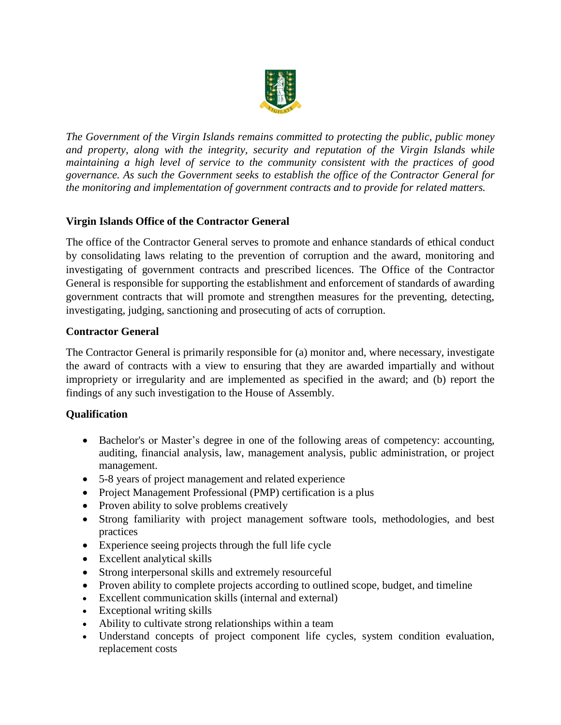

*The Government of the Virgin Islands remains committed to protecting the public, public money and property, along with the integrity, security and reputation of the Virgin Islands while maintaining a high level of service to the community consistent with the practices of good governance. As such the Government seeks to establish the office of the Contractor General for the monitoring and implementation of government contracts and to provide for related matters.*

# **Virgin Islands Office of the Contractor General**

The office of the Contractor General serves to promote and enhance standards of ethical conduct by consolidating laws relating to the prevention of corruption and the award, monitoring and investigating of government contracts and prescribed licences. The Office of the Contractor General is responsible for supporting the establishment and enforcement of standards of awarding government contracts that will promote and strengthen measures for the preventing, detecting, investigating, judging, sanctioning and prosecuting of acts of corruption.

#### **Contractor General**

The Contractor General is primarily responsible for (a) monitor and, where necessary, investigate the award of contracts with a view to ensuring that they are awarded impartially and without impropriety or irregularity and are implemented as specified in the award; and (b) report the findings of any such investigation to the House of Assembly.

## **Qualification**

- Bachelor's or Master's degree in one of the following areas of competency: accounting, auditing, financial analysis, law, management analysis, public administration, or project management.
- 5-8 years of project management and related experience
- Project Management Professional (PMP) certification is a plus
- Proven ability to solve problems creatively
- Strong familiarity with project management software tools, methodologies, and best practices
- Experience seeing projects through the full life cycle
- Excellent analytical skills
- Strong interpersonal skills and extremely resourceful
- Proven ability to complete projects according to outlined scope, budget, and timeline
- Excellent communication skills (internal and external)
- Exceptional writing skills
- Ability to cultivate strong relationships within a team
- Understand concepts of project component life cycles, system condition evaluation, replacement costs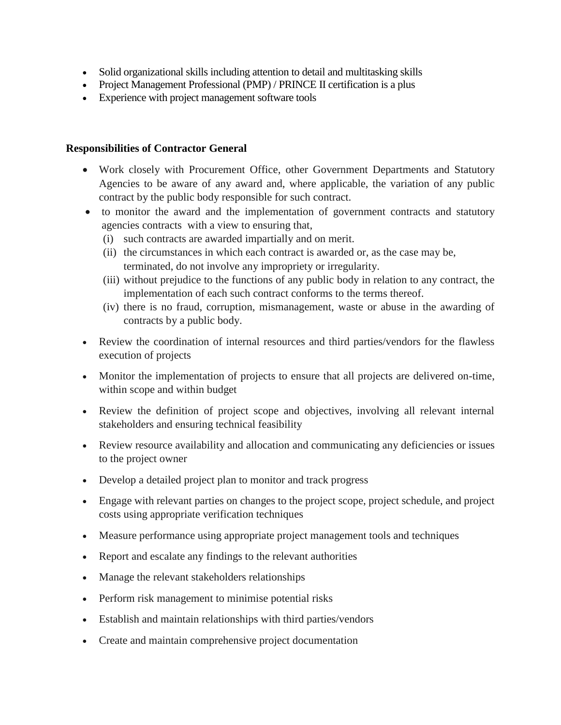- Solid organizational skills including attention to detail and multitasking skills
- Project Management Professional (PMP) / PRINCE II certification is a plus
- Experience with project management software tools

#### **Responsibilities of Contractor General**

- Work closely with Procurement Office, other Government Departments and Statutory Agencies to be aware of any award and, where applicable, the variation of any public contract by the public body responsible for such contract.
- to monitor the award and the implementation of government contracts and statutory agencies contracts with a view to ensuring that,
	- (i) such contracts are awarded impartially and on merit.
	- (ii) the circumstances in which each contract is awarded or, as the case may be, terminated, do not involve any impropriety or irregularity.
	- (iii) without prejudice to the functions of any public body in relation to any contract, the implementation of each such contract conforms to the terms thereof.
	- (iv) there is no fraud, corruption, mismanagement, waste or abuse in the awarding of contracts by a public body.
- Review the coordination of internal resources and third parties/vendors for the flawless execution of projects
- Monitor the implementation of projects to ensure that all projects are delivered on-time, within scope and within budget
- Review the definition of project scope and objectives, involving all relevant internal stakeholders and ensuring technical feasibility
- Review resource availability and allocation and communicating any deficiencies or issues to the project owner
- Develop a detailed project plan to monitor and track progress
- Engage with relevant parties on changes to the project scope, project schedule, and project costs using appropriate verification techniques
- Measure performance using appropriate project management tools and techniques
- Report and escalate any findings to the relevant authorities
- Manage the relevant stakeholders relationships
- Perform risk management to minimise potential risks
- Establish and maintain relationships with third parties/vendors
- Create and maintain comprehensive project documentation